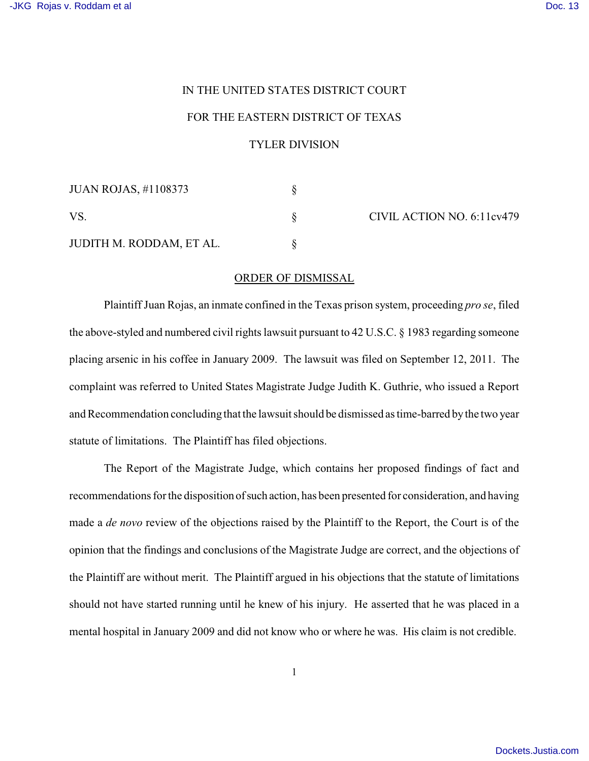## IN THE UNITED STATES DISTRICT COURT

## FOR THE EASTERN DISTRICT OF TEXAS

## TYLER DIVISION

| <b>JUAN ROJAS, #1108373</b> |  |
|-----------------------------|--|
| VS.                         |  |
| JUDITH M. RODDAM, ET AL.    |  |

CIVIL ACTION NO. 6:11cv479

## ORDER OF DISMISSAL

Plaintiff Juan Rojas, an inmate confined in the Texas prison system, proceeding *pro se*, filed the above-styled and numbered civil rights lawsuit pursuant to 42 U.S.C. § 1983 regarding someone placing arsenic in his coffee in January 2009. The lawsuit was filed on September 12, 2011. The complaint was referred to United States Magistrate Judge Judith K. Guthrie, who issued a Report and Recommendation concluding that the lawsuit should be dismissed as time-barred bythe two year statute of limitations. The Plaintiff has filed objections.

The Report of the Magistrate Judge, which contains her proposed findings of fact and recommendations for the disposition of such action, has been presented for consideration, and having made a *de novo* review of the objections raised by the Plaintiff to the Report, the Court is of the opinion that the findings and conclusions of the Magistrate Judge are correct, and the objections of the Plaintiff are without merit. The Plaintiff argued in his objections that the statute of limitations should not have started running until he knew of his injury. He asserted that he was placed in a mental hospital in January 2009 and did not know who or where he was. His claim is not credible.